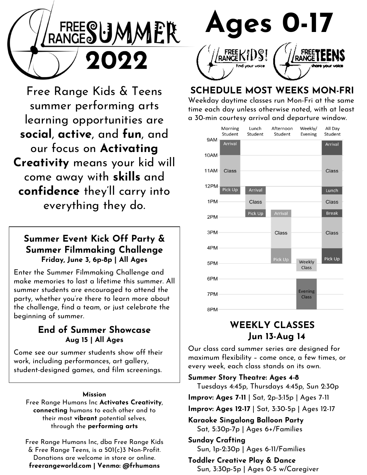

Free Range Kids & Teens summer performing arts learning opportunities are social, active, and fun, and our focus on Activating Creativity means your kid will come away with skills and confidence they'll carry into everything they do.

## Summer Event Kick Off Party & Summer Filmmaking Challenge Friday, June 3, 6p-8p | All Ages

Enter the Summer Filmmaking Challenge and make memories to last a lifetime this summer. All summer students are encouraged to attend the party, whether you're there to learn more about the challenge, find a team, or just celebrate the beginning of summer. Example increases to tast a member instant the summer students are encouraged to attend the<br>party, whether you're there to learn more about<br>the challenge, find a team, or just celebrate the<br>beginning of summer.<br>**End of Sum** 

## End of Summer Showcase Aug 15 | All Ages

work, including performances, art gallery, student-designed games, and film screenings.

#### Mission

Free Range Humans Inc Activates Creativity, connecting humans to each other and to their most vibrant potential selves, through the performing arts Mission<br>
Free Range Humans Inc **Activates Creativity,**<br> **connecting** humans to each other and to<br>
their most **vibrant** potential selves,<br>
through the **performing arts**<br>
Free Range Humans Inc, dba Free Range Kids<br>
& Free Ra

Free Range Humans Inc, dba Free Range Kids Donations are welcome in store or online. freerangeworld.com | Venmo: @frhumans



## SCHEDULE MOST WEEKS MON-FRI

Weekday daytime classes run Mon-Fri at the same time each day unless otherwise noted, with at least a 30-min courtesy arrival and departure window.



# WEEKLY CLASSES Jun 13-Aug 14

Our class card summer series are designed for TPM<br>
8PM<br>
8PM<br> **WEEKLY CLASSES**<br> **Jun 13-Aug 14**<br>
Our class card summer series are designed for<br>
maximum flexibility – come once, a few times, or<br>
every week, each class stands on its own.<br> **Summer Story Theatre: Ages 4-8** every week, each class stands on its own.

Summer Story Theatre: Ages 4-8

Tuesdays 4:45p, Thursdays 4:45p, Sun 2:30p

Improv: Ages 7-11 | Sat, 2p-3:15p | Ages 7-11

Improv: Ages 12-17 | Sat, 3:30-5p | Ages 12-17

Karaoke Singalong Balloon Party Sat, 5:30p-7p | Ages 6+/Families

Sunday Crafting Sun, 1p-2:30p | Ages 6-11/Families

Toddler Creative Play & Dance Sun, 3:30p-5p | Ages 0-5 w/Caregiver